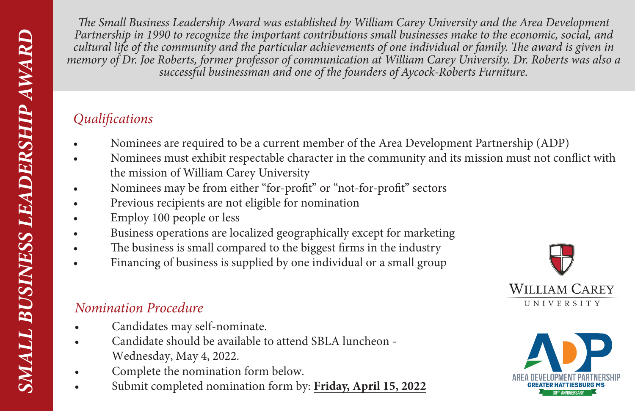*The Small Business Leadership Award was established by William Carey University and the Area Development Partnership in 1990 to recognize the important contributions small businesses make to the economic, social, and cultural life of the community and the particular achievements of one individual or family. The award is given in memory of Dr. Joe Roberts, former professor of communication at William Carey University. Dr. Roberts was also a successful businessman and one of the founders of Aycock-Roberts Furniture.*

# *Qualifications*

- Nominees are required to be a current member of the Area Development Partnership (ADP)
- Nominees must exhibit respectable character in the community and its mission must not conflict with the mission of William Carey University
- Nominees may be from either "for-profit" or "not-for-profit" sectors
- Previous recipients are not eligible for nomination
- Employ 100 people or less
- Business operations are localized geographically except for marketing
- The business is small compared to the biggest firms in the industry
- Financing of business is supplied by one individual or a small group

### *Nomination Procedure*

- Candidates may self-nominate.
- Candidate should be available to attend SBLA luncheon Wednesday, May 4, 2022.
- Complete the nomination form below.
- Submit completed nomination form by: **Friday, April 15, 2022**



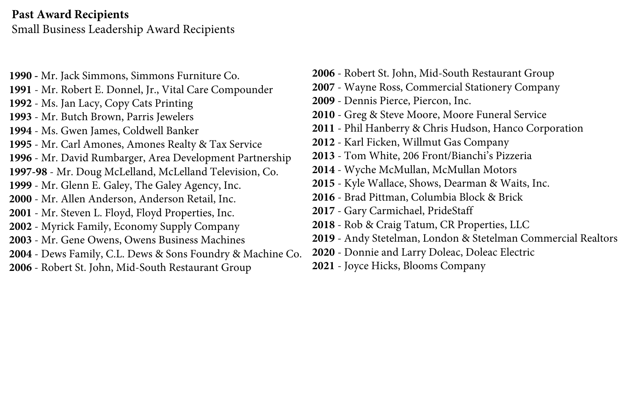#### **Past Award Recipients** Small Business Leadership Award Recipients

- **1990** Mr. Jack Simmons, Simmons Furniture Co. - Mr. Robert E. Donnel, Jr., Vital Care Compounder - Ms. Jan Lacy, Copy Cats Printing - Mr. Butch Brown, Parris Jewelers - Ms. Gwen James, Coldwell Banker - Mr. Carl Amones, Amones Realty & Tax Service - Mr. David Rumbarger, Area Development Partnership **1997-98** - Mr. Doug McLelland, McLelland Television, Co. - Mr. Glenn E. Galey, The Galey Agency, Inc. - Mr. Allen Anderson, Anderson Retail, Inc. - Mr. Steven L. Floyd, Floyd Properties, Inc. - Myrick Family, Economy Supply Company - Mr. Gene Owens, Owens Business Machines - Dews Family, C.L. Dews & Sons Foundry & Machine Co. - Robert St. John, Mid-South Restaurant Group
- Robert St. John, Mid-South Restaurant Group
- Wayne Ross, Commercial Stationery Company
- Dennis Pierce, Piercon, Inc.
- Greg & Steve Moore, Moore Funeral Service
- Phil Hanberry & Chris Hudson, Hanco Corporation
- Karl Ficken, Willmut Gas Company
- Tom White, 206 Front/Bianchi's Pizzeria
- Wyche McMullan, McMullan Motors
- Kyle Wallace, Shows, Dearman & Waits, Inc.
- Brad Pittman, Columbia Block & Brick
- Gary Carmichael, PrideStaff
- Rob & Craig Tatum, CR Properties, LLC
- Andy Stetelman, London & Stetelman Commercial Realtors
- Donnie and Larry Doleac, Doleac Electric
- Joyce Hicks, Blooms Company